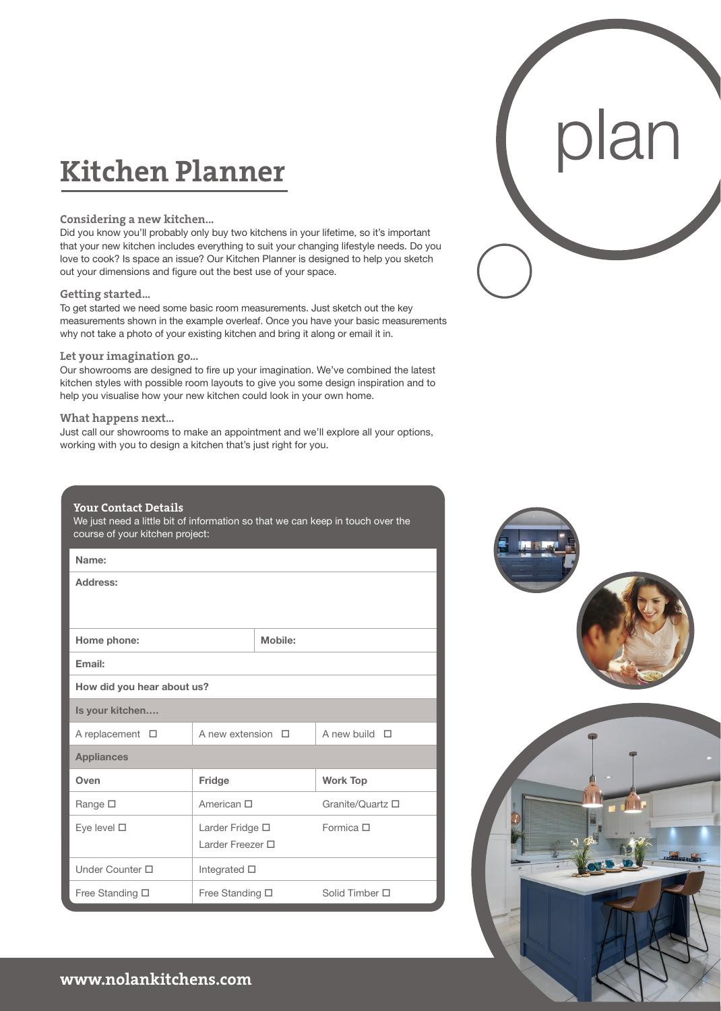# **Kitchen Planner**

# **Considering a new kitchen...**

Did you know you'll probably only buy two kitchens in your lifetime, so it's important that your new kitchen includes everything to suit your changing lifestyle needs. Do you love to cook? Is space an issue? Our Kitchen Planner is designed to help you sketch out your dimensions and figure out the best use of your space.

# **Getting started...**

To get started we need some basic room measurements. Just sketch out the key measurements shown in the example overleaf. Once you have your basic measurements why not take a photo of your existing kitchen and bring it along or email it in.

#### **Let your imagination go...**

Our showrooms are designed to fire up your imagination. We've combined the latest kitchen styles with possible room layouts to give you some design inspiration and to help you visualise how your new kitchen could look in your own home.

# **What happens next...**

Just call our showrooms to make an appointment and we'll explore all your options, working with you to design a kitchen that's just right for you.

# **Your Contact Details**

We just need a little bit of information so that we can keep in touch over the course of your kitchen project:

| Name:                      |                         |         |                    |
|----------------------------|-------------------------|---------|--------------------|
| Address:                   |                         |         |                    |
|                            |                         |         |                    |
| Home phone:                |                         | Mobile: |                    |
| Email:                     |                         |         |                    |
| How did you hear about us? |                         |         |                    |
| Is your kitchen            |                         |         |                    |
| A replacement $\square$    | A new extension $\Box$  |         | A new build $\Box$ |
| <b>Appliances</b>          |                         |         |                    |
| Oven                       | Fridge                  |         | <b>Work Top</b>    |
| Range □                    | American □              |         | Granite/Quartz □   |
| Eye level $\square$        | Larder Fridge □         |         | Formica $\Box$     |
|                            | Larder Freezer □        |         |                    |
| Under Counter $\Box$       | Integrated $\square$    |         |                    |
| Free Standing □            | Free Standing $\square$ |         | Solid Timber □     |



plan